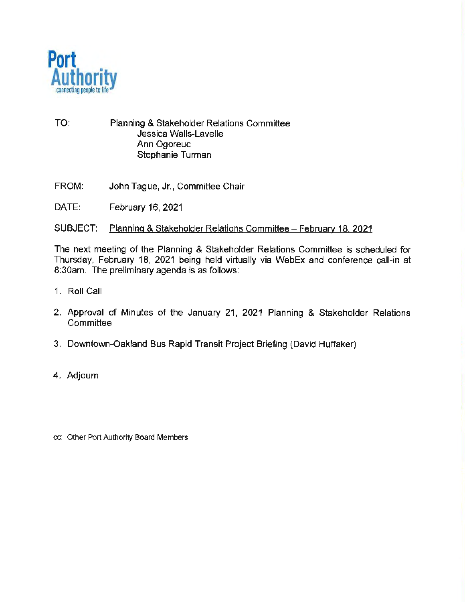

- TO: Planning & Stakeholder Relations Committee Jessica Walls-Lavelle Ann Ogoreuc Stephanie Turman
- FROM: John Tague, Jr., Committee Chair
- DATE: February 16, 2021

#### SUBJECT: Planning & Stakeholder Relations Committee- February 18, 2021

The next meeting of the Planning & Stakeholder Relations Committee is scheduled for Thursday, February 18, 2021 being held virtually via WebEx and conference call-in at 8:30am. The preliminary agenda is as follows:

- 1. Roll Call
- 2. Approval of Minutes of the January 21, 2021 Planning & Stakeholder Relations **Committee**
- 3. Downtown-Oakland Bus Rapid Transit Project Briefing (David Huffaker)
- 4. Adjourn
- cc: Other Port Authority Board Members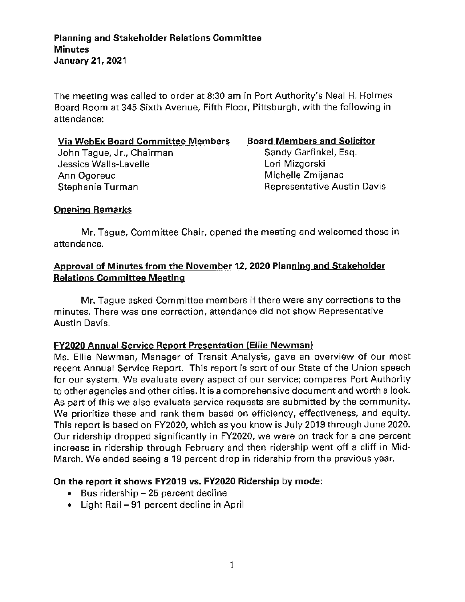The meeting was called to order at 8:30 am in Port Authority's Neal H. Holmes Board Room at 345 Sixth Avenue, Fifth Floor, Pittsburgh, with the following in attendance:

#### **Via WebEx Board Committee Members**

John Tague, Jr., Chairman Jessica Walls-Lavelle Ann Ogoreuc Stephanie Turman

#### **Board Members and Solicitor**

Sandy Garfinkel, Esq. Lori Mizgorski Michelle Zmijanac Representative Austin Davis

# **Opening Remarks**

Mr. Tague, Committee Chair, opened the meeting and welcomed those in attendance.

# **Approval of Minutes from the November 12, 2020 Planning and Stakeholder Relations Committee Meeting**

Mr. Tague asked Committee members if there were any corrections to the minutes. There was one correction, attendance did not show Representative Austin Davis.

# **FY2020 Annual Service Report Presentation (Ellie Newman)**

Ms. Ellie Newman, Manager of Transit Analysis, gave an overview of our most recent Annual Service Report. This report is sort of our State of the Union speech for our system. We evaluate every aspect of our service; compares Port Authority to other agencies and other cities. It is a comprehensive document and worth a look. As part of this we also evaluate service requests are submitted by the community. We prioritize these and rank them based on efficiency, effectiveness, and equity. This report is based on FY2020, which as you know is July 2019 through June 2020. Our ridership dropped significantly in FY2020, we were on track for a one percent increase in ridership through February and then ridership went off a cliff in Mid-March. We ended seeing a 19 percent drop in ridership from the previous year.

# **On the report it shows FV2019 vs. FV2020 Ridership by mode:**

- $\bullet$  Bus ridership  $-25$  percent decline
- Light Rail 91 percent decline in April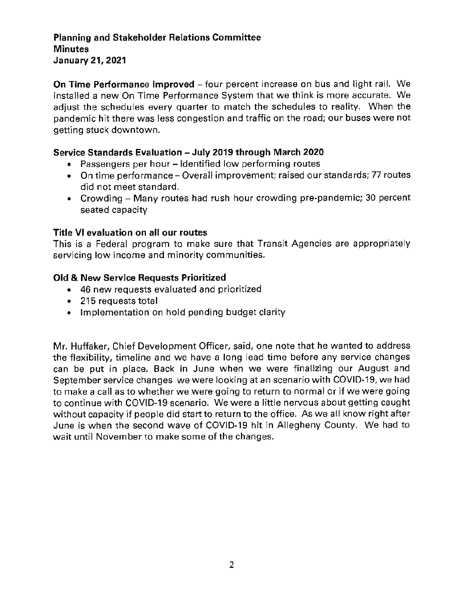### **Planning and Stakeholder Relations Committee Minutes January 21, 2021**

**On Time Performance Improved** - four percent increase on bus and light rail. We installed a new On Time Performance System that we think is more accurate. We adjust the schedules every quarter to match the schedules to reality. When the pandemic hit there was less congestion and traffic on the road; our buses were not getting stuck downtown.

# **Service Standards Evaluation - July 2019 through March 2020**

- Passengers per hour Identified low performing routes
- On time performance Overall improvement; raised our standards; 77 routes did not meet standard.
- Crowding Many routes had rush hour crowding pre-pandemic; 30 percent seated capacity

### **Title VI evaluation on all our routes**

This is a Federal program to make sure that Transit Agencies are appropriately servicing low income and minority communities.

#### **Old & New Service Requests Prioritized**

- 46 new requests evaluated and prioritized
- 215 requests total
- Implementation on hold pending budget clarity

Mr. Huffaker, Chief Development Officer, said, one note that he wanted to address the flexibility, timeline and we have a long lead time before any service changes can be put in place. Back in June when we were finalizing our August and September service changes we were looking at an scenario with COVID-19, we had to make a call as to whether we were going to return to normal or if we were going to continue with COVID-19 scenario. We were a little nervous about getting caught without capacity if people did start to return to the office. As we all know right after June is when the second wave of COVID-19 hit in Allegheny County. We had to wait until November to make some of the changes.